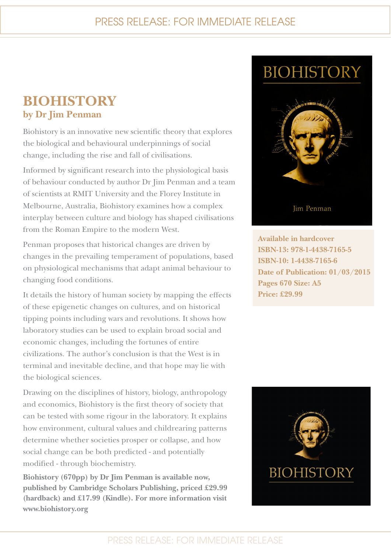## PRESS RELEASE: FOR IMMEDIATE RELEASE

## **BIOHISTORY by Dr Jim Penman**

Biohistory is an innovative new scientific theory that explores the biological and behavioural underpinnings of social change, including the rise and fall of civilisations.

Informed by significant research into the physiological basis of behaviour conducted by author Dr Jim Penman and a team of scientists at RMIT University and the Florey Institute in Melbourne, Australia, Biohistory examines how a complex interplay between culture and biology has shaped civilisations from the Roman Empire to the modern West.

Penman proposes that historical changes are driven by changes in the prevailing temperament of populations, based on physiological mechanisms that adapt animal behaviour to changing food conditions.

It details the history of human society by mapping the effects of these epigenetic changes on cultures, and on historical tipping points including wars and revolutions. It shows how laboratory studies can be used to explain broad social and economic changes, including the fortunes of entire civilizations. The author's conclusion is that the West is in terminal and inevitable decline, and that hope may lie with the biological sciences.

Drawing on the disciplines of history, biology, anthropology and economics, Biohistory is the first theory of society that can be tested with some rigour in the laboratory. It explains how environment, cultural values and childrearing patterns determine whether societies prosper or collapse, and how social change can be both predicted - and potentially modified - through biochemistry.

**Biohistory (670pp) by Dr Jim Penman is available now, published by Cambridge Scholars Publishing, priced £29.99 (hardback) and £17.99 (Kindle). For more information visit www.biohistory.org**

# **BIOHISTORY**



**Available in hardcover ISBN-13: 978-1-4438-7165-5 ISBN-10: 1-4438-7165-6 Date of Publication: 01/03/2015 Pages 670 Size: A5 Price: £29.99**